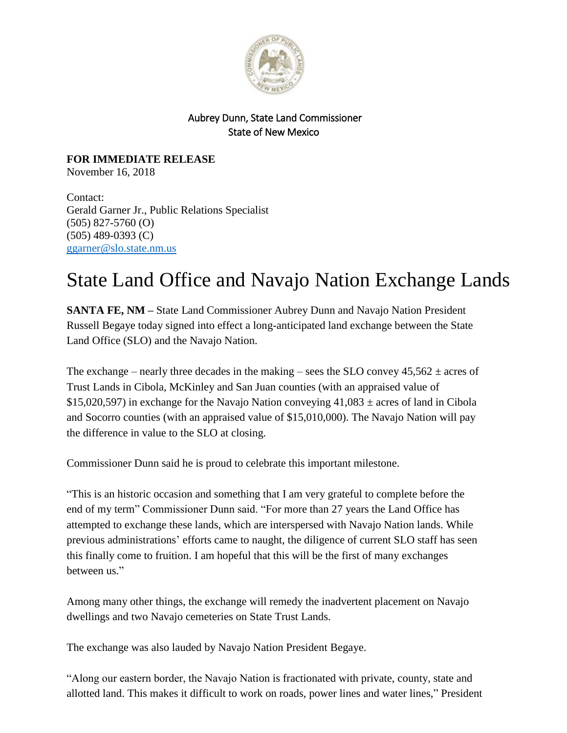

## Aubrey Dunn, State Land Commissioner State of New Mexico

**FOR IMMEDIATE RELEASE** November 16, 2018

Contact: Gerald Garner Jr., Public Relations Specialist (505) 827-5760 (O) (505) 489-0393 (C) [ggarner@slo.state.nm.us](mailto:ggarner@slo.state.nm.us)

## State Land Office and Navajo Nation Exchange Lands

**SANTA FE, NM –** State Land Commissioner Aubrey Dunn and Navajo Nation President Russell Begaye today signed into effect a long-anticipated land exchange between the State Land Office (SLO) and the Navajo Nation.

The exchange – nearly three decades in the making – sees the SLO convey  $45,562 \pm \text{acres}$  of Trust Lands in Cibola, McKinley and San Juan counties (with an appraised value of \$15,020,597) in exchange for the Navajo Nation conveying  $41,083 \pm \text{acres}$  of land in Cibola and Socorro counties (with an appraised value of \$15,010,000). The Navajo Nation will pay the difference in value to the SLO at closing.

Commissioner Dunn said he is proud to celebrate this important milestone.

"This is an historic occasion and something that I am very grateful to complete before the end of my term" Commissioner Dunn said. "For more than 27 years the Land Office has attempted to exchange these lands, which are interspersed with Navajo Nation lands. While previous administrations' efforts came to naught, the diligence of current SLO staff has seen this finally come to fruition. I am hopeful that this will be the first of many exchanges between us."

Among many other things, the exchange will remedy the inadvertent placement on Navajo dwellings and two Navajo cemeteries on State Trust Lands.

The exchange was also lauded by Navajo Nation President Begaye.

"Along our eastern border, the Navajo Nation is fractionated with private, county, state and allotted land. This makes it difficult to work on roads, power lines and water lines," President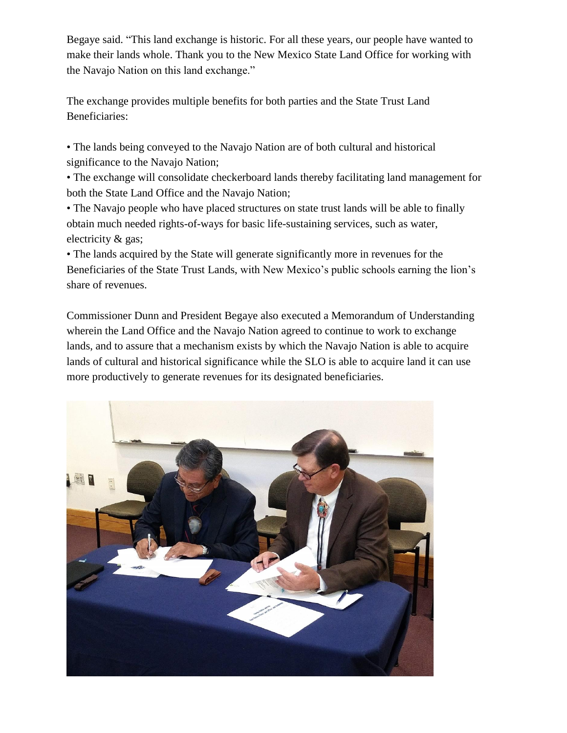Begaye said. "This land exchange is historic. For all these years, our people have wanted to make their lands whole. Thank you to the New Mexico State Land Office for working with the Navajo Nation on this land exchange."

The exchange provides multiple benefits for both parties and the State Trust Land Beneficiaries:

• The lands being conveyed to the Navajo Nation are of both cultural and historical significance to the Navajo Nation;

• The exchange will consolidate checkerboard lands thereby facilitating land management for both the State Land Office and the Navajo Nation;

• The Navajo people who have placed structures on state trust lands will be able to finally obtain much needed rights-of-ways for basic life-sustaining services, such as water, electricity & gas;

• The lands acquired by the State will generate significantly more in revenues for the Beneficiaries of the State Trust Lands, with New Mexico's public schools earning the lion's share of revenues.

Commissioner Dunn and President Begaye also executed a Memorandum of Understanding wherein the Land Office and the Navajo Nation agreed to continue to work to exchange lands, and to assure that a mechanism exists by which the Navajo Nation is able to acquire lands of cultural and historical significance while the SLO is able to acquire land it can use more productively to generate revenues for its designated beneficiaries.